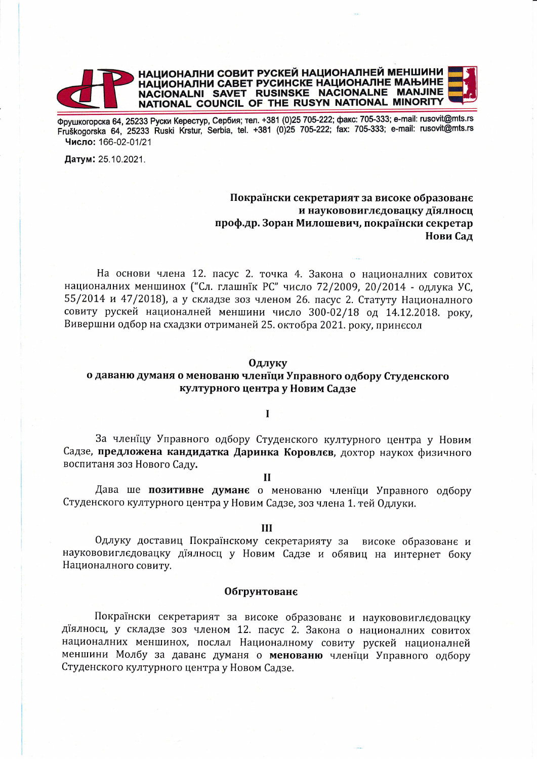

Фрушкогорска 64, 25233 Руски Керестур, Сербия; тел. +381 (0)25 705-222; факс: 705-333; e-mail: rusovit@mts.rs Fruškogorska 64, 25233 Ruski Krstur, Serbia, tel. +381 (0)25 705-222; fax: 705-333; e-mail: rusovit@mts.rs Число: 166-02-01/21

Датум: 25.10.2021.

# Покраїнски секретарият за високе образованє и наукововиглєдовацку діялносц проф.др. Зоран Милошевич, покраїнски секретар Нови Сад

На основи члена 12. пасус 2. точка 4. Закона о националних совитох националних меншинох ("Сл. глашнїк РС" число 72/2009, 20/2014 - одлука УС, 55/2014 и 47/2018), а у складзе зоз членом 26. пасус 2. Статуту Националного совиту рускей националней меншини число 300-02/18 од 14.12.2018. року, Вивершни одбор на схадзки отриманей 25. октобра 2021. року, принесол

#### **Одлуку**

## о даваню думаня о менованю членїци Управного одбору Студенского културного центра у Новим Садзе

## $\mathbf I$

За членїцу Управного одбору Студенского културного центра у Новим Садзе, предложена кандидатка Даринка Коровлєв, дохтор наукох физичного воспитаня зоз Нового Саду.

#### $\mathbf{H}$

Дава ше позитивне думанє о менованю членїци Управного одбору Студенского културного центра у Новим Садзе, зоз члена 1. тей Одлуки.

## $III$

Одлуку доставиц Покраїнскому секретарияту за високе образованє и наукововиглєдовацку діялносц у Новим Садзе и обявиц на интернет боку Националного совиту.

#### Обгрунтованє

Покраїнски секретарият за високе образованє и наукововиглєдовацку діялносц, у складзе зоз членом 12. пасус 2. Закона о националних совитох националних меншинох, послал Националному совиту рускей националней меншини Молбу за даване думаня о менованю членїци Управного одбору Студенского културного центра у Новом Садзе.